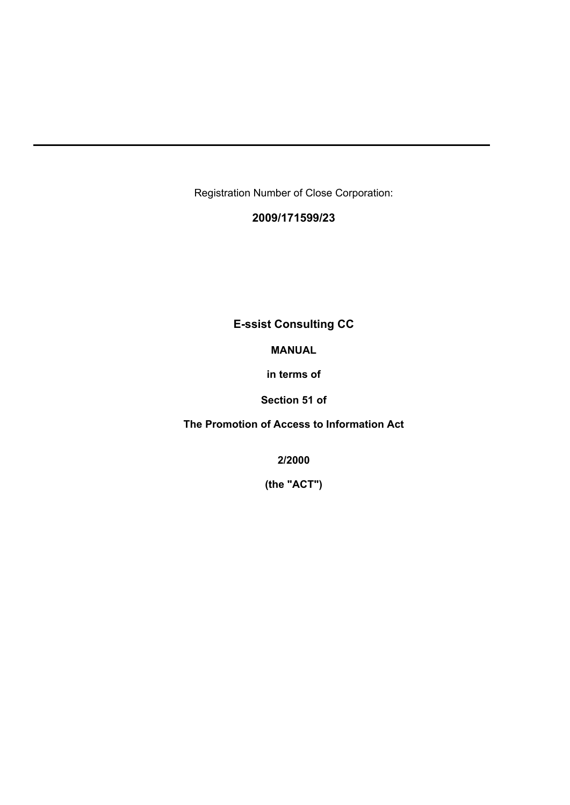Registration Number of Close Corporation:

## **2009/171599/23**

## **E-ssist Consulting CC**

#### **MANUAL**

**in terms of**

**Section 51 of** 

**The Promotion of Access to Information Act**

**2/2000** 

**(the "ACT")**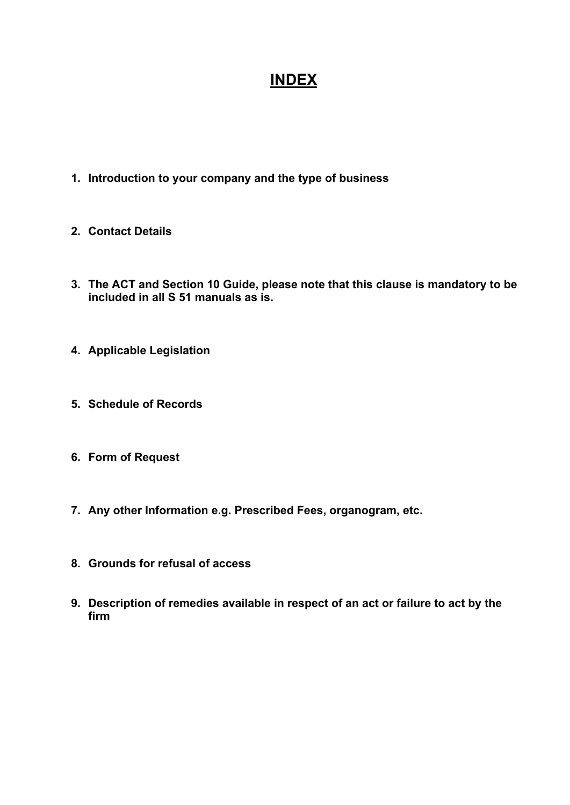# **INDEX**

- **1. Introduction to your company and the type of business**
- **2. Contact Details**
- **3. The ACT and Section 10 Guide, please note that this clause is mandatory to be included in all S 51 manuals as is.**
- **4. Applicable Legislation**
- **5. Schedule of Records**
- **6. Form of Request**
- **7. Any other Information e.g. Prescribed Fees, organogram, etc.**
- **8. Grounds for refusal of access**
- **9. Description of remedies available in respect of an act or failure to act by the firm**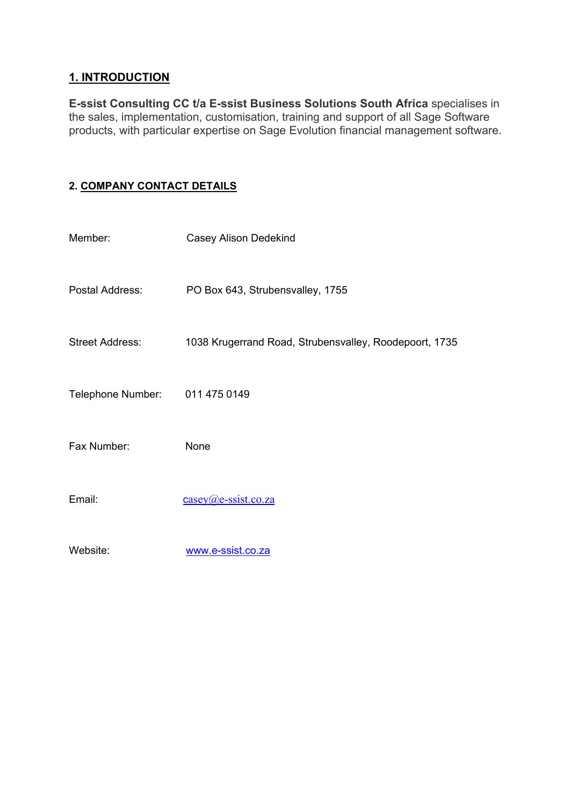### **1. INTRODUCTION**

**E-ssist Consulting CC t/a E-ssist Business Solutions South Africa** specialises in the sales, implementation, customisation, training and support of all Sage Software products, with particular expertise on Sage Evolution financial management software.

## **2. COMPANY CONTACT DETAILS**

| Member:                | <b>Casey Alison Dedekind</b>                           |  |
|------------------------|--------------------------------------------------------|--|
| Postal Address:        | PO Box 643, Strubensvalley, 1755                       |  |
| <b>Street Address:</b> | 1038 Krugerrand Road, Strubensvalley, Roodepoort, 1735 |  |
| Telephone Number:      | 011 475 0149                                           |  |
| Fax Number:            | None                                                   |  |
| Email:                 | $casey(\omega)$ e-ssist.co.za                          |  |
| Website:               | www.e-ssist.co.za                                      |  |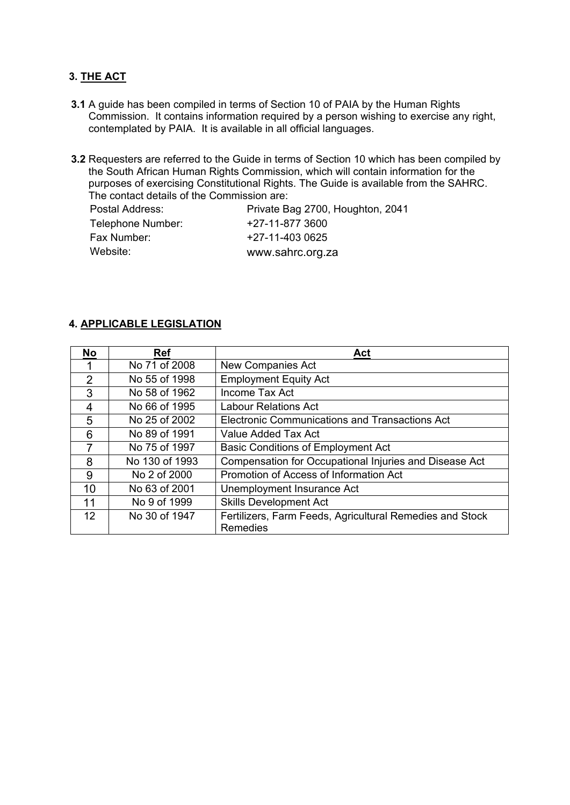## **3. THE ACT**

- **3.1** A guide has been compiled in terms of Section 10 of PAIA by the Human Rights Commission. It contains information required by a person wishing to exercise any right, contemplated by PAIA. It is available in all official languages.
- **3.2** Requesters are referred to the Guide in terms of Section 10 which has been compiled by the South African Human Rights Commission, which will contain information for the purposes of exercising Constitutional Rights. The Guide is available from the SAHRC. The contact details of the Commission are:

Postal Address: Private Bag 2700, Houghton, 2041 Telephone Number: +27-11-877 3600 Fax Number:  $+27-11-4030625$ Website: www.sahrc.org.za

#### **4. APPLICABLE LEGISLATION**

| <b>No</b>         | <b>Ref</b>     | Act                                                                         |  |
|-------------------|----------------|-----------------------------------------------------------------------------|--|
|                   | No 71 of 2008  | <b>New Companies Act</b>                                                    |  |
| $\mathcal{P}$     | No 55 of 1998  | <b>Employment Equity Act</b>                                                |  |
| 3                 | No 58 of 1962  | Income Tax Act                                                              |  |
| 4                 | No 66 of 1995  | Labour Relations Act                                                        |  |
| 5                 | No 25 of 2002  | <b>Electronic Communications and Transactions Act</b>                       |  |
| 6                 | No 89 of 1991  | Value Added Tax Act                                                         |  |
| 7                 | No 75 of 1997  | <b>Basic Conditions of Employment Act</b>                                   |  |
| 8                 | No 130 of 1993 | Compensation for Occupational Injuries and Disease Act                      |  |
| 9                 | No 2 of 2000   | Promotion of Access of Information Act                                      |  |
| 10                | No 63 of 2001  | Unemployment Insurance Act                                                  |  |
| 11                | No 9 of 1999   | <b>Skills Development Act</b>                                               |  |
| $12 \overline{ }$ | No 30 of 1947  | Fertilizers, Farm Feeds, Agricultural Remedies and Stock<br><b>Remedies</b> |  |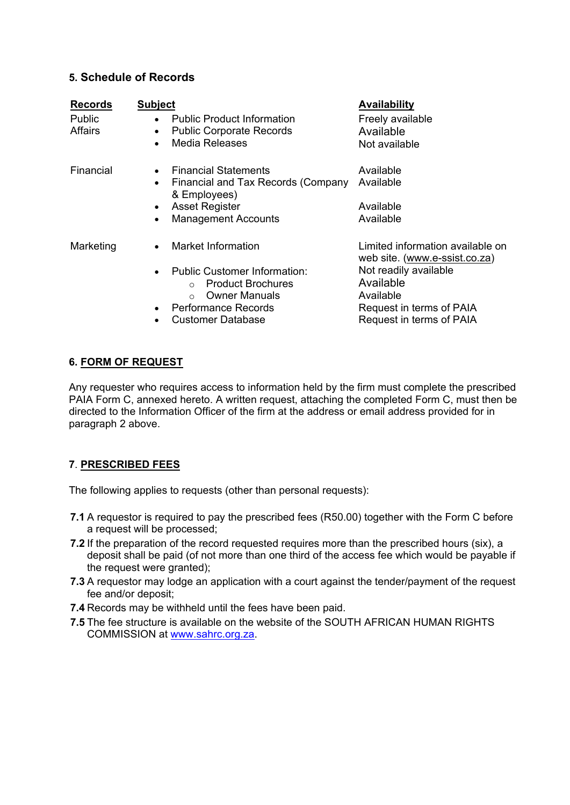#### **5. Schedule of Records**

| <b>Records</b> | <b>Subject</b>                                                                                                    | <b>Availability</b>                                               |
|----------------|-------------------------------------------------------------------------------------------------------------------|-------------------------------------------------------------------|
| Public         | <b>Public Product Information</b><br>$\bullet$                                                                    | Freely available                                                  |
| <b>Affairs</b> | <b>Public Corporate Records</b><br>$\bullet$                                                                      | Available                                                         |
|                | Media Releases<br>$\bullet$                                                                                       | Not available                                                     |
| Financial      | <b>Financial Statements</b><br>$\bullet$                                                                          | Available                                                         |
|                | Financial and Tax Records (Company<br>$\bullet$<br>& Employees)                                                   | Available                                                         |
|                | <b>Asset Register</b><br>$\bullet$                                                                                | Available                                                         |
|                | <b>Management Accounts</b>                                                                                        | Available                                                         |
| Marketing      | Market Information<br>$\bullet$                                                                                   | Limited information available on<br>web site. (www.e-ssist.co.za) |
|                | Public Customer Information:<br>$\bullet$<br><b>Product Brochures</b><br>$\cap$<br><b>Owner Manuals</b><br>$\cap$ | Not readily available<br>Available<br>Available                   |
|                | <b>Performance Records</b><br>$\bullet$                                                                           | Request in terms of PAIA                                          |
|                | <b>Customer Database</b>                                                                                          | Request in terms of PAIA                                          |

#### **6. FORM OF REQUEST**

Any requester who requires access to information held by the firm must complete the prescribed PAIA Form C, annexed hereto. A written request, attaching the completed Form C, must then be directed to the Information Officer of the firm at the address or email address provided for in paragraph 2 above.

#### **7**. **PRESCRIBED FEES**

The following applies to requests (other than personal requests):

- **7.1** A requestor is required to pay the prescribed fees (R50.00) together with the Form C before a request will be processed;
- **7.2** If the preparation of the record requested requires more than the prescribed hours (six), a deposit shall be paid (of not more than one third of the access fee which would be payable if the request were granted);
- **7.3** A requestor may lodge an application with a court against the tender/payment of the request fee and/or deposit;
- **7.4** Records may be withheld until the fees have been paid.
- **7.5** The fee structure is available on the website of the SOUTH AFRICAN HUMAN RIGHTS COMMISSION at www.sahrc.org.za.